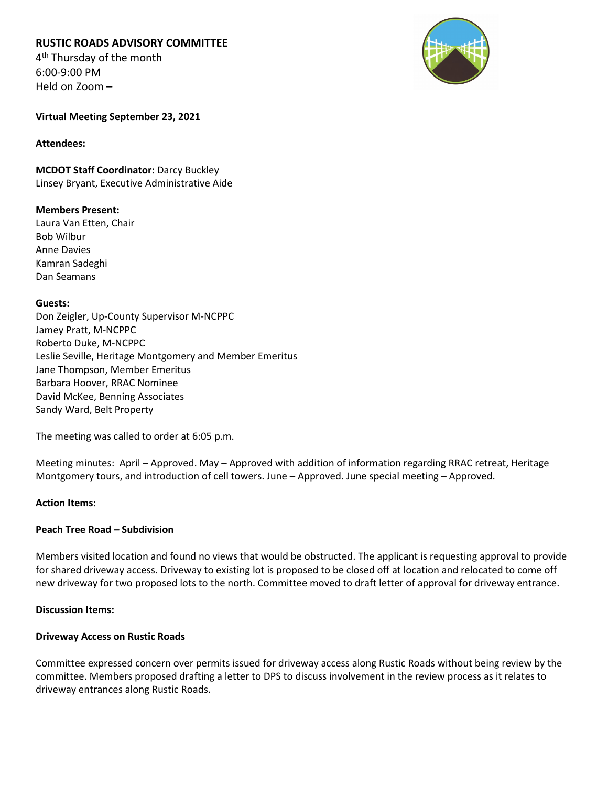# **RUSTIC ROADS ADVISORY COMMITTEE**

4<sup>th</sup> Thursday of the month 6:00-9:00 PM Held on Zoom –



**Virtual Meeting September 23, 2021**

#### **Attendees:**

**MCDOT Staff Coordinator:** Darcy Buckley Linsey Bryant, Executive Administrative Aide

# **Members Present:**

Laura Van Etten, Chair Bob Wilbur Anne Davies Kamran Sadeghi Dan Seamans

# **Guests:**

Don Zeigler, Up-County Supervisor M-NCPPC Jamey Pratt, M-NCPPC Roberto Duke, M-NCPPC Leslie Seville, Heritage Montgomery and Member Emeritus Jane Thompson, Member Emeritus Barbara Hoover, RRAC Nominee David McKee, Benning Associates Sandy Ward, Belt Property

The meeting was called to order at 6:05 p.m.

Meeting minutes: April – Approved. May – Approved with addition of information regarding RRAC retreat, Heritage Montgomery tours, and introduction of cell towers. June – Approved. June special meeting – Approved.

# **Action Items:**

# **Peach Tree Road – Subdivision**

Members visited location and found no views that would be obstructed. The applicant is requesting approval to provide for shared driveway access. Driveway to existing lot is proposed to be closed off at location and relocated to come off new driveway for two proposed lots to the north. Committee moved to draft letter of approval for driveway entrance.

# **Discussion Items:**

# **Driveway Access on Rustic Roads**

Committee expressed concern over permits issued for driveway access along Rustic Roads without being review by the committee. Members proposed drafting a letter to DPS to discuss involvement in the review process as it relates to driveway entrances along Rustic Roads.